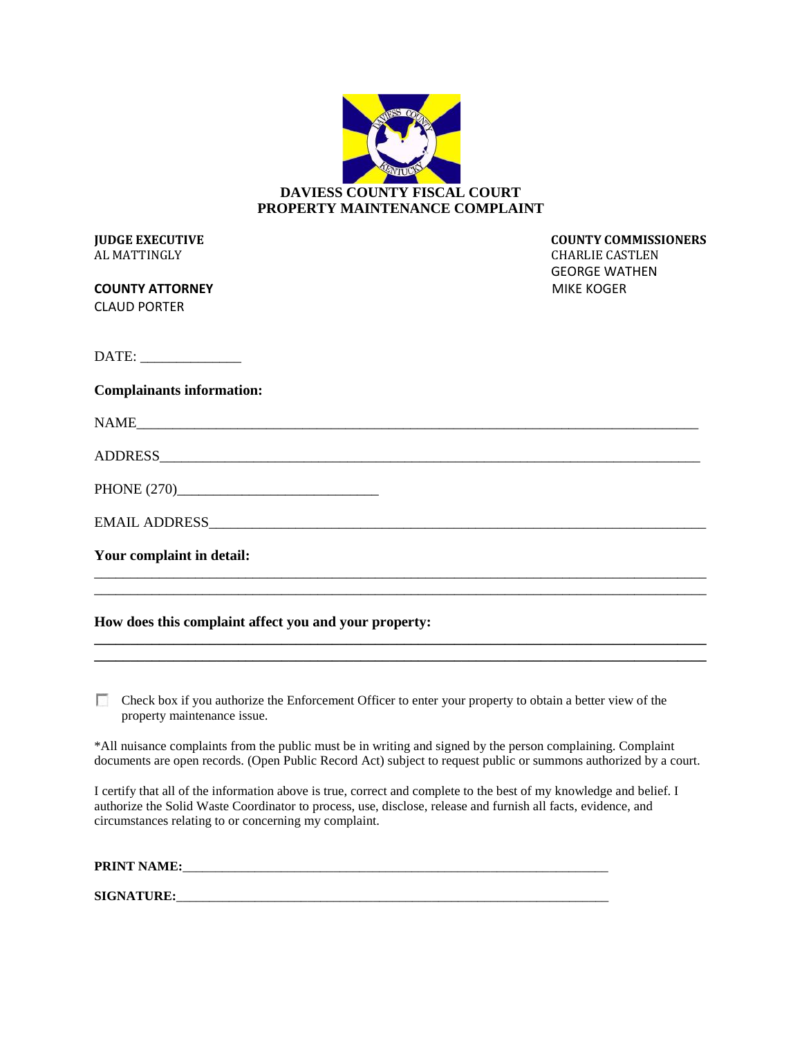| <b>DAVIESS COUNTY FISCAL COURT</b> |
|------------------------------------|
| PROPERTY MAINTENANCE COMPLAINT     |

AL MATTINGLY CHARLIE CASTLEN

**COUNTY ATTORNEY COUNTY AT A LIMIT COUNTY AT A LIMIT COUNTY AT A LIMIT COUNTY AT A LIMIT COUNTY AT A LIMIT COUNTY AT A LIMIT COUNTY AT A LIMIT COUNTY AT A LIMIT COUNTY AT A LIMIT COUNTY AT A LIMIT COUNTY AT A LIMIT COUNTY** CLAUD PORTER

**JUDGE EXECUTIVE COUNTY COMMISSIONERS** GEORGE WATHEN

DATE: \_\_\_\_\_\_\_\_\_\_\_\_\_\_

#### **Complainants information:**

| NAME           |  |  |  |
|----------------|--|--|--|
| <b>ADDRESS</b> |  |  |  |

\_\_\_\_\_\_\_\_\_\_\_\_\_\_\_\_\_\_\_\_\_\_\_\_\_\_\_\_\_\_\_\_\_\_\_\_\_\_\_\_\_\_\_\_\_\_\_\_\_\_\_\_\_\_\_\_\_\_\_\_\_\_\_\_\_\_\_\_\_\_\_\_\_\_\_\_\_\_\_\_\_\_\_\_\_ \_\_\_\_\_\_\_\_\_\_\_\_\_\_\_\_\_\_\_\_\_\_\_\_\_\_\_\_\_\_\_\_\_\_\_\_\_\_\_\_\_\_\_\_\_\_\_\_\_\_\_\_\_\_\_\_\_\_\_\_\_\_\_\_\_\_\_\_\_\_\_\_\_\_\_\_\_\_\_\_\_\_\_\_\_

**\_\_\_\_\_\_\_\_\_\_\_\_\_\_\_\_\_\_\_\_\_\_\_\_\_\_\_\_\_\_\_\_\_\_\_\_\_\_\_\_\_\_\_\_\_\_\_\_\_\_\_\_\_\_\_\_\_\_\_\_\_\_\_\_\_\_\_\_\_\_\_\_\_\_\_\_\_\_\_\_\_\_\_\_\_**

PHONE (270)\_\_\_\_\_\_\_\_\_\_\_\_\_\_\_\_\_\_\_\_\_\_\_\_\_\_\_\_

EMAIL ADDRESS\_\_\_\_\_\_\_\_\_\_\_\_\_\_\_\_\_\_\_\_\_\_\_\_\_\_\_\_\_\_\_\_\_\_\_\_\_\_\_\_\_\_\_\_\_\_\_\_\_\_\_\_\_\_\_\_\_\_\_\_\_\_\_\_\_\_\_\_\_

**Your complaint in detail:**

# **How does this complaint affect you and your property:**

 $\Box$  Check box if you authorize the Enforcement Officer to enter your property to obtain a better view of the property maintenance issue.

\*All nuisance complaints from the public must be in writing and signed by the person complaining. Complaint documents are open records. (Open Public Record Act) subject to request public or summons authorized by a court.

I certify that all of the information above is true, correct and complete to the best of my knowledge and belief. I authorize the Solid Waste Coordinator to process, use, disclose, release and furnish all facts, evidence, and circumstances relating to or concerning my complaint.

| <b>PRINT NAME:</b> |  |
|--------------------|--|
|                    |  |
| <b>SIGNATURE:</b>  |  |